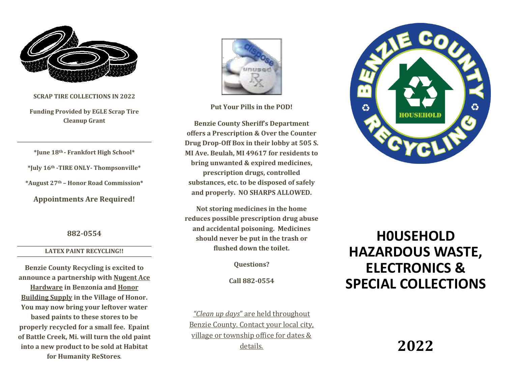

**SCRAP TIRE COLLECTIONS IN 2022**

**Funding Provided by EGLE Scrap Tire Cleanup Grant**

**\*June 18th - Frankfort High School\*** 

**\*July 16th -TIRE ONLY- Thompsonville\***

**\*August 27th – Honor Road Commission\***

**Appointments Are Required!**

**882-0554**

#### **LATEX PAINT RECYCLING!!**

**Benzie County Recycling is excited to announce a partnership with Nugent Ace Hardware in Benzonia and Honor Building Supply in the Village of Honor. You may now bring your leftover water based paints to these stores to be properly recycled for a small fee. Epaint of Battle Creek, Mi. will turn the old paint into a new product to be sold at Habitat for Humanity ReStores**.



**Put Your Pills in the POD!**

**Benzie County Sheriff's Department offers a Prescription & Over the Counter Drug Drop-Off Box in their lobby at 505 S. MI Ave. Beulah, MI 49617 for residents to bring unwanted & expired medicines, prescription drugs, controlled substances, etc. to be disposed of safely and properly. NO SHARPS ALLOWED.** 

**Not storing medicines in the home reduces possible prescription drug abuse and accidental poisoning. Medicines should never be put in the trash or flushed down the toilet.**

**Questions?**

**Call 882-0554**

*"Clean up days*" are held throughout Benzie County. Contact your local city, village or township office for dates & details.



## **H0USEHOLD HAZARDOUS WASTE, ELECTRONICS & SPECIAL COLLECTIONS**

**2022**